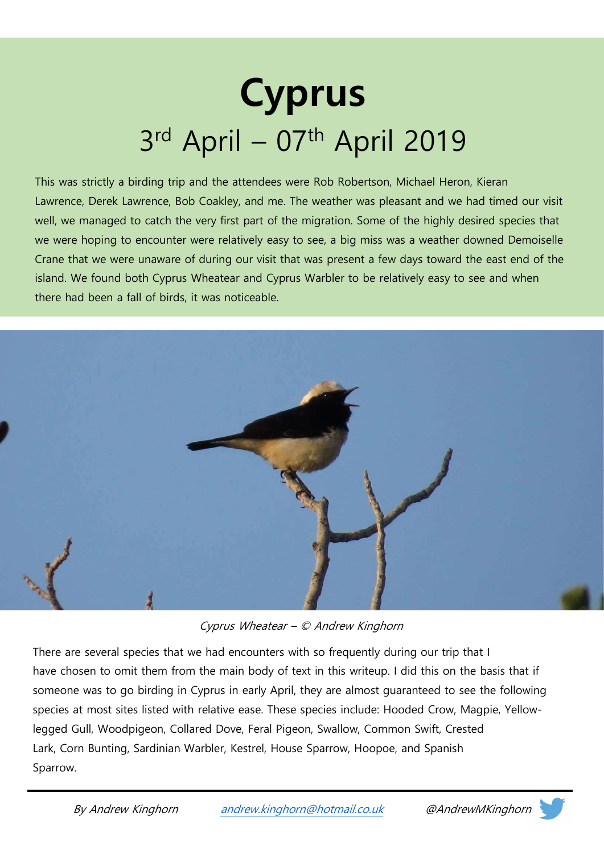## Cyprus 3rd April – 07th April 2019

This was strictly a birding trip and the attendees were Rob Robertson, Michael Heron, Kieran Lawrence, Derek Lawrence, Bob Coakley, and me. The weather was pleasant and we had timed our visit well, we managed to catch the very first part of the migration. Some of the highly desired species that we were hoping to encounter were relatively easy to see, a big miss was a weather downed Demoiselle Crane that we were unaware of during our visit that was present a few days toward the east end of the island. We found both Cyprus Wheatear and Cyprus Warbler to be relatively easy to see and when there had been a fall of birds, it was noticeable.



Cyprus Wheatear – © Andrew Kinghorn

There are several species that we had encounters with so frequently during our trip that I have chosen to omit them from the main body of text in this writeup. I did this on the basis that if someone was to go birding in Cyprus in early April, they are almost guaranteed to see the following species at most sites listed with relative ease. These species include: Hooded Crow, Magpie, Yellowlegged Gull, Woodpigeon, Collared Dove, Feral Pigeon, Swallow, Common Swift, Crested Lark, Corn Bunting, Sardinian Warbler, Kestrel, House Sparrow, Hoopoe, and Spanish Sparrow.



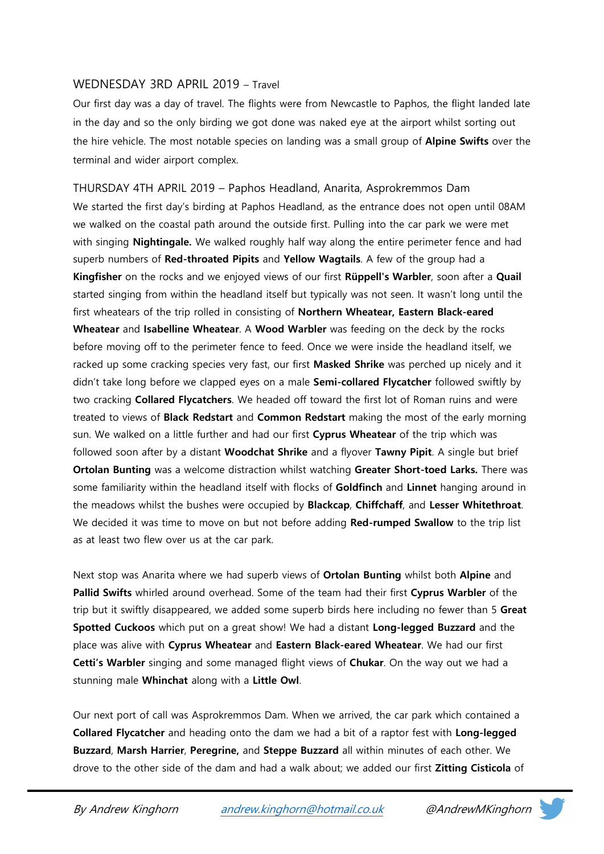## WEDNESDAY 3RD APRIL 2019 – Travel

Our first day was a day of travel. The flights were from Newcastle to Paphos, the flight landed late in the day and so the only birding we got done was naked eye at the airport whilst sorting out the hire vehicle. The most notable species on landing was a small group of **Alpine Swifts** over the terminal and wider airport complex.

THURSDAY 4TH APRIL 2019 – Paphos Headland, Anarita, Asprokremmos Dam We started the first day's birding at Paphos Headland, as the entrance does not open until 08AM we walked on the coastal path around the outside first. Pulling into the car park we were met with singing **Nightingale.** We walked roughly half way along the entire perimeter fence and had superb numbers of Red-throated Pipits and Yellow Wagtails. A few of the group had a Kingfisher on the rocks and we enjoyed views of our first Rüppell's Warbler, soon after a Quail started singing from within the headland itself but typically was not seen. It wasn't long until the first wheatears of the trip rolled in consisting of Northern Wheatear, Eastern Black-eared Wheatear and Isabelline Wheatear. A Wood Warbler was feeding on the deck by the rocks before moving off to the perimeter fence to feed. Once we were inside the headland itself, we racked up some cracking species very fast, our first Masked Shrike was perched up nicely and it didn't take long before we clapped eyes on a male Semi-collared Flycatcher followed swiftly by two cracking **Collared Flycatchers**. We headed off toward the first lot of Roman ruins and were treated to views of **Black Redstart** and **Common Redstart** making the most of the early morning sun. We walked on a little further and had our first Cyprus Wheatear of the trip which was followed soon after by a distant Woodchat Shrike and a flyover Tawny Pipit. A single but brief Ortolan Bunting was a welcome distraction whilst watching Greater Short-toed Larks. There was some familiarity within the headland itself with flocks of Goldfinch and Linnet hanging around in the meadows whilst the bushes were occupied by Blackcap, Chiffchaff, and Lesser Whitethroat. We decided it was time to move on but not before adding Red-rumped Swallow to the trip list as at least two flew over us at the car park.

Next stop was Anarita where we had superb views of **Ortolan Bunting** whilst both **Alpine** and Pallid Swifts whirled around overhead. Some of the team had their first Cyprus Warbler of the trip but it swiftly disappeared, we added some superb birds here including no fewer than 5 Great Spotted Cuckoos which put on a great show! We had a distant Long-legged Buzzard and the place was alive with Cyprus Wheatear and Eastern Black-eared Wheatear. We had our first Cetti's Warbler singing and some managed flight views of Chukar. On the way out we had a stunning male Whinchat along with a Little Owl.

Our next port of call was Asprokremmos Dam. When we arrived, the car park which contained a Collared Flycatcher and heading onto the dam we had a bit of a raptor fest with Long-legged Buzzard, Marsh Harrier, Peregrine, and Steppe Buzzard all within minutes of each other. We drove to the other side of the dam and had a walk about; we added our first Zitting Cisticola of

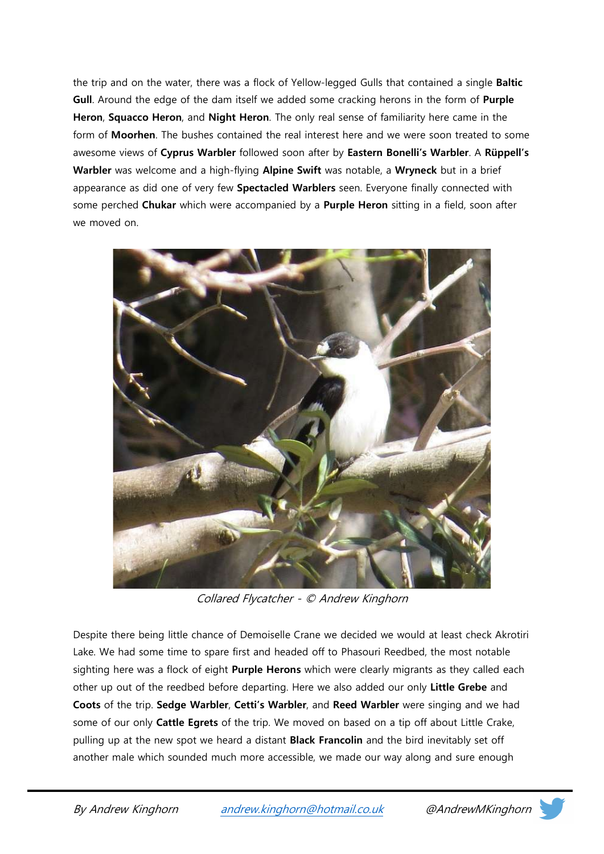the trip and on the water, there was a flock of Yellow-legged Gulls that contained a single Baltic Gull. Around the edge of the dam itself we added some cracking herons in the form of Purple Heron, Squacco Heron, and Night Heron. The only real sense of familiarity here came in the form of **Moorhen**. The bushes contained the real interest here and we were soon treated to some awesome views of Cyprus Warbler followed soon after by Eastern Bonelli's Warbler. A Rüppell's Warbler was welcome and a high-flying Alpine Swift was notable, a Wryneck but in a brief appearance as did one of very few **Spectacled Warblers** seen. Everyone finally connected with some perched Chukar which were accompanied by a Purple Heron sitting in a field, soon after we moved on.



Collared Flycatcher - © Andrew Kinghorn

Despite there being little chance of Demoiselle Crane we decided we would at least check Akrotiri Lake. We had some time to spare first and headed off to Phasouri Reedbed, the most notable sighting here was a flock of eight **Purple Herons** which were clearly migrants as they called each other up out of the reedbed before departing. Here we also added our only Little Grebe and Coots of the trip. Sedge Warbler, Cetti's Warbler, and Reed Warbler were singing and we had some of our only Cattle Egrets of the trip. We moved on based on a tip off about Little Crake, pulling up at the new spot we heard a distant **Black Francolin** and the bird inevitably set off another male which sounded much more accessible, we made our way along and sure enough

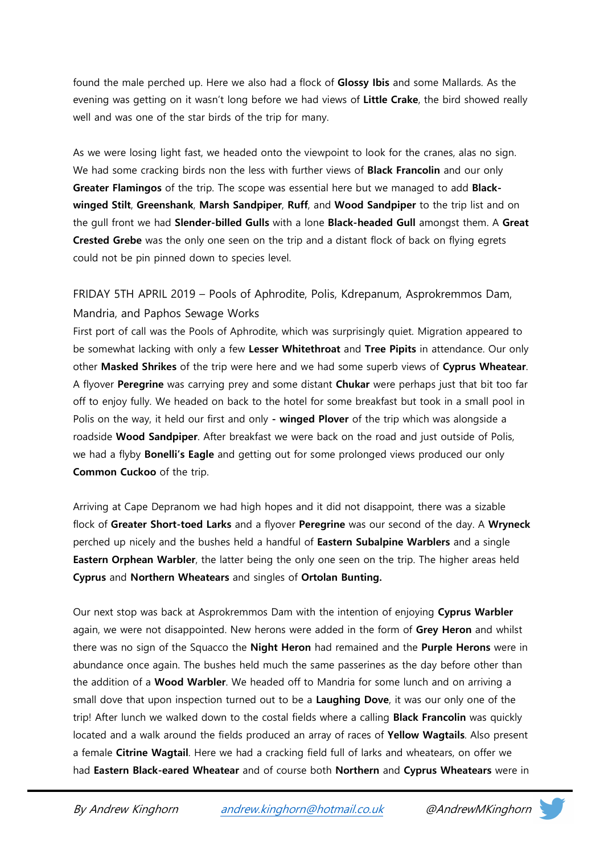found the male perched up. Here we also had a flock of Glossy Ibis and some Mallards. As the evening was getting on it wasn't long before we had views of Little Crake, the bird showed really well and was one of the star birds of the trip for many.

As we were losing light fast, we headed onto the viewpoint to look for the cranes, alas no sign. We had some cracking birds non the less with further views of **Black Francolin** and our only Greater Flamingos of the trip. The scope was essential here but we managed to add Blackwinged Stilt, Greenshank, Marsh Sandpiper, Ruff, and Wood Sandpiper to the trip list and on the gull front we had **Slender-billed Gulls** with a lone **Black-headed Gull** amongst them. A Great Crested Grebe was the only one seen on the trip and a distant flock of back on flying egrets could not be pin pinned down to species level.

FRIDAY 5TH APRIL 2019 – Pools of Aphrodite, Polis, Kdrepanum, Asprokremmos Dam, Mandria, and Paphos Sewage Works

First port of call was the Pools of Aphrodite, which was surprisingly quiet. Migration appeared to be somewhat lacking with only a few Lesser Whitethroat and Tree Pipits in attendance. Our only other Masked Shrikes of the trip were here and we had some superb views of Cyprus Wheatear. A flyover Peregrine was carrying prey and some distant Chukar were perhaps just that bit too far off to enjoy fully. We headed on back to the hotel for some breakfast but took in a small pool in Polis on the way, it held our first and only - winged Plover of the trip which was alongside a roadside Wood Sandpiper. After breakfast we were back on the road and just outside of Polis, we had a flyby **Bonelli's Eagle** and getting out for some prolonged views produced our only Common Cuckoo of the trip.

Arriving at Cape Depranom we had high hopes and it did not disappoint, there was a sizable flock of Greater Short-toed Larks and a flyover Peregrine was our second of the day. A Wryneck perched up nicely and the bushes held a handful of Eastern Subalpine Warblers and a single Eastern Orphean Warbler, the latter being the only one seen on the trip. The higher areas held Cyprus and Northern Wheatears and singles of Ortolan Bunting.

Our next stop was back at Asprokremmos Dam with the intention of enjoying Cyprus Warbler again, we were not disappointed. New herons were added in the form of Grey Heron and whilst there was no sign of the Squacco the Night Heron had remained and the Purple Herons were in abundance once again. The bushes held much the same passerines as the day before other than the addition of a Wood Warbler. We headed off to Mandria for some lunch and on arriving a small dove that upon inspection turned out to be a Laughing Dove, it was our only one of the trip! After lunch we walked down to the costal fields where a calling **Black Francolin** was quickly located and a walk around the fields produced an array of races of Yellow Wagtails. Also present a female Citrine Wagtail. Here we had a cracking field full of larks and wheatears, on offer we had Eastern Black-eared Wheatear and of course both Northern and Cyprus Wheatears were in

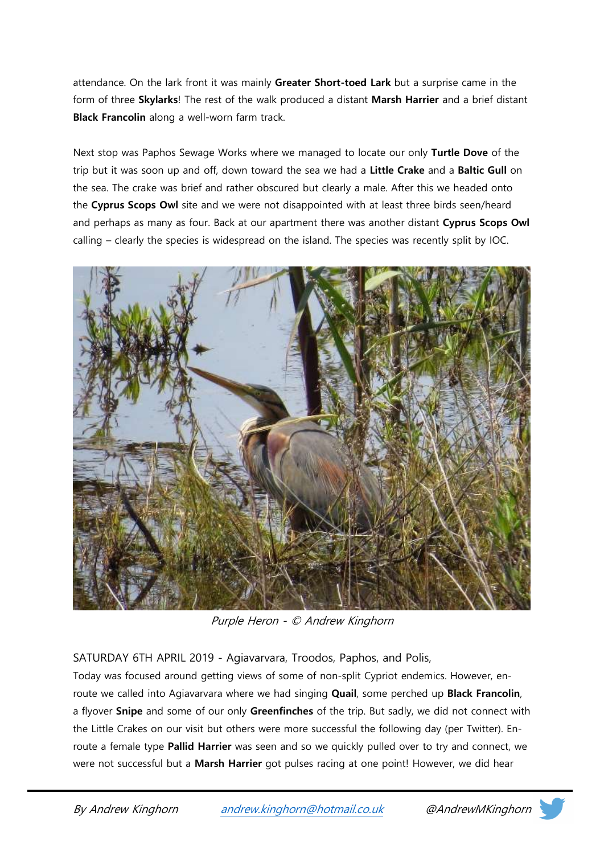attendance. On the lark front it was mainly Greater Short-toed Lark but a surprise came in the form of three Skylarks! The rest of the walk produced a distant Marsh Harrier and a brief distant Black Francolin along a well-worn farm track.

Next stop was Paphos Sewage Works where we managed to locate our only Turtle Dove of the trip but it was soon up and off, down toward the sea we had a Little Crake and a Baltic Gull on the sea. The crake was brief and rather obscured but clearly a male. After this we headed onto the Cyprus Scops Owl site and we were not disappointed with at least three birds seen/heard and perhaps as many as four. Back at our apartment there was another distant Cyprus Scops Owl calling – clearly the species is widespread on the island. The species was recently split by IOC.



Purple Heron - © Andrew Kinghorn

SATURDAY 6TH APRIL 2019 - Agiavarvara, Troodos, Paphos, and Polis,

Today was focused around getting views of some of non-split Cypriot endemics. However, enroute we called into Agiavarvara where we had singing Quail, some perched up Black Francolin, a flyover Snipe and some of our only Greenfinches of the trip. But sadly, we did not connect with the Little Crakes on our visit but others were more successful the following day (per Twitter). Enroute a female type Pallid Harrier was seen and so we quickly pulled over to try and connect, we were not successful but a Marsh Harrier got pulses racing at one point! However, we did hear

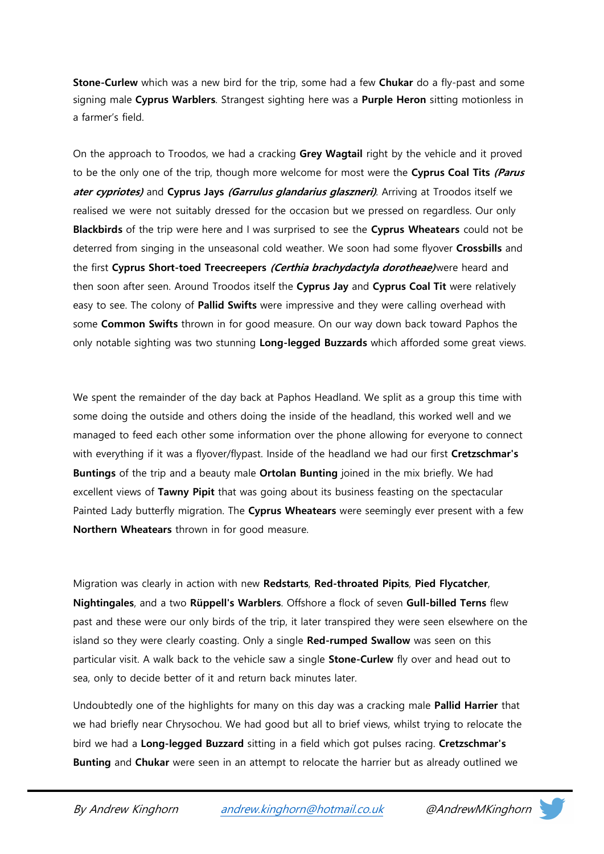Stone-Curlew which was a new bird for the trip, some had a few Chukar do a fly-past and some signing male Cyprus Warblers. Strangest sighting here was a Purple Heron sitting motionless in a farmer's field.

On the approach to Troodos, we had a cracking Grey Wagtail right by the vehicle and it proved to be the only one of the trip, though more welcome for most were the **Cyprus Coal Tits (Parus** ater cypriotes) and Cyprus Jays (Garrulus glandarius glaszneri). Arriving at Troodos itself we realised we were not suitably dressed for the occasion but we pressed on regardless. Our only Blackbirds of the trip were here and I was surprised to see the Cyprus Wheatears could not be deterred from singing in the unseasonal cold weather. We soon had some flyover Crossbills and the first Cyprus Short-toed Treecreepers (Certhia brachydactyla dorotheae) were heard and then soon after seen. Around Troodos itself the Cyprus Jay and Cyprus Coal Tit were relatively easy to see. The colony of Pallid Swifts were impressive and they were calling overhead with some Common Swifts thrown in for good measure. On our way down back toward Paphos the only notable sighting was two stunning Long-legged Buzzards which afforded some great views.

We spent the remainder of the day back at Paphos Headland. We split as a group this time with some doing the outside and others doing the inside of the headland, this worked well and we managed to feed each other some information over the phone allowing for everyone to connect with everything if it was a flyover/flypast. Inside of the headland we had our first Cretzschmar's Buntings of the trip and a beauty male Ortolan Bunting joined in the mix briefly. We had excellent views of Tawny Pipit that was going about its business feasting on the spectacular Painted Lady butterfly migration. The Cyprus Wheatears were seemingly ever present with a few Northern Wheatears thrown in for good measure.

Migration was clearly in action with new Redstarts, Red-throated Pipits, Pied Flycatcher, Nightingales, and a two Rüppell's Warblers. Offshore a flock of seven Gull-billed Terns flew past and these were our only birds of the trip, it later transpired they were seen elsewhere on the island so they were clearly coasting. Only a single Red-rumped Swallow was seen on this particular visit. A walk back to the vehicle saw a single **Stone-Curlew** fly over and head out to sea, only to decide better of it and return back minutes later.

Undoubtedly one of the highlights for many on this day was a cracking male **Pallid Harrier** that we had briefly near Chrysochou. We had good but all to brief views, whilst trying to relocate the bird we had a Long-legged Buzzard sitting in a field which got pulses racing. Cretzschmar's **Bunting** and **Chukar** were seen in an attempt to relocate the harrier but as already outlined we

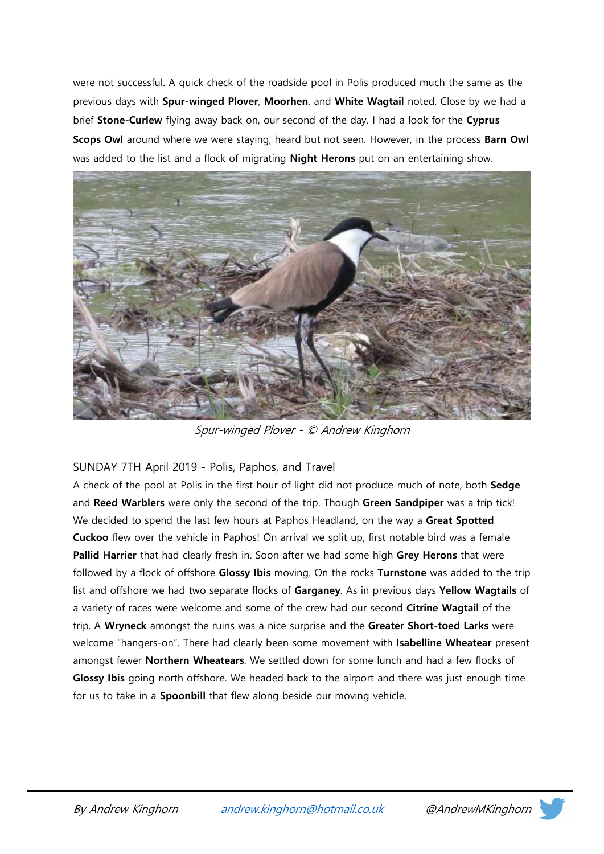were not successful. A quick check of the roadside pool in Polis produced much the same as the previous days with Spur-winged Plover, Moorhen, and White Wagtail noted. Close by we had a brief Stone-Curlew flying away back on, our second of the day. I had a look for the Cyprus Scops Owl around where we were staying, heard but not seen. However, in the process Barn Owl was added to the list and a flock of migrating **Night Herons** put on an entertaining show.



Spur-winged Plover - © Andrew Kinghorn

## SUNDAY 7TH April 2019 - Polis, Paphos, and Travel

A check of the pool at Polis in the first hour of light did not produce much of note, both Sedge and Reed Warblers were only the second of the trip. Though Green Sandpiper was a trip tick! We decided to spend the last few hours at Paphos Headland, on the way a Great Spotted Cuckoo flew over the vehicle in Paphos! On arrival we split up, first notable bird was a female Pallid Harrier that had clearly fresh in. Soon after we had some high Grey Herons that were followed by a flock of offshore Glossy Ibis moving. On the rocks Turnstone was added to the trip list and offshore we had two separate flocks of Garganey. As in previous days Yellow Wagtails of a variety of races were welcome and some of the crew had our second Citrine Wagtail of the trip. A Wryneck amongst the ruins was a nice surprise and the Greater Short-toed Larks were welcome "hangers-on". There had clearly been some movement with Isabelline Wheatear present amongst fewer Northern Wheatears. We settled down for some lunch and had a few flocks of Glossy Ibis going north offshore. We headed back to the airport and there was just enough time for us to take in a **Spoonbill** that flew along beside our moving vehicle.

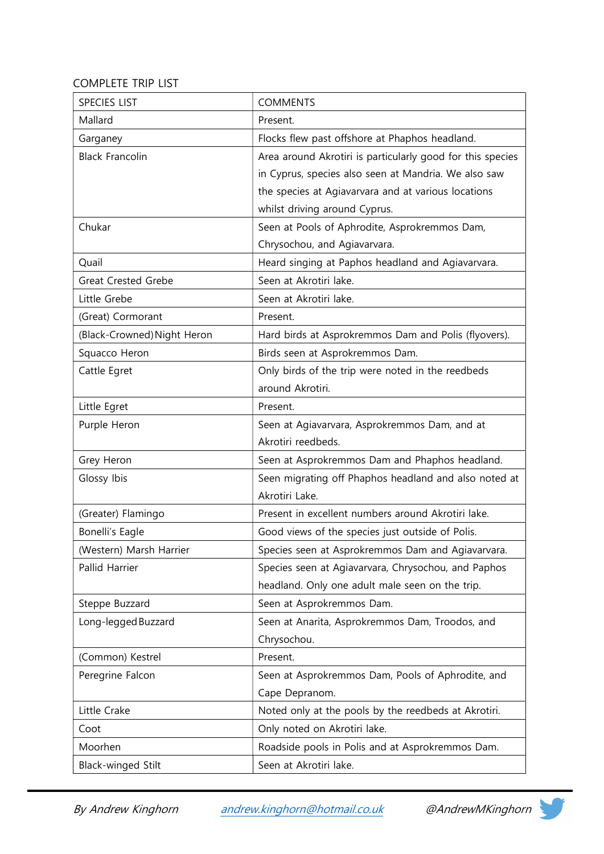## COMPLETE TRIP LIST

| <b>SPECIES LIST</b>         | <b>COMMENTS</b>                                            |
|-----------------------------|------------------------------------------------------------|
| Mallard                     | Present.                                                   |
| Garganey                    | Flocks flew past offshore at Phaphos headland.             |
| <b>Black Francolin</b>      | Area around Akrotiri is particularly good for this species |
|                             | in Cyprus, species also seen at Mandria. We also saw       |
|                             | the species at Agiavarvara and at various locations        |
|                             | whilst driving around Cyprus.                              |
| Chukar                      | Seen at Pools of Aphrodite, Asprokremmos Dam,              |
|                             | Chrysochou, and Agiavarvara.                               |
| Quail                       | Heard singing at Paphos headland and Agiavarvara.          |
| <b>Great Crested Grebe</b>  | Seen at Akrotiri lake.                                     |
| Little Grebe                | Seen at Akrotiri lake.                                     |
| (Great) Cormorant           | Present.                                                   |
| (Black-Crowned) Night Heron | Hard birds at Asprokremmos Dam and Polis (flyovers).       |
| Squacco Heron               | Birds seen at Asprokremmos Dam.                            |
| Cattle Egret                | Only birds of the trip were noted in the reedbeds          |
|                             | around Akrotiri.                                           |
| Little Egret                | Present.                                                   |
| Purple Heron                | Seen at Agiavarvara, Asprokremmos Dam, and at              |
|                             | Akrotiri reedbeds.                                         |
| Grey Heron                  | Seen at Asprokremmos Dam and Phaphos headland.             |
| Glossy Ibis                 | Seen migrating off Phaphos headland and also noted at      |
|                             | Akrotiri Lake.                                             |
| (Greater) Flamingo          | Present in excellent numbers around Akrotiri lake.         |
| Bonelli's Eagle             | Good views of the species just outside of Polis.           |
| (Western) Marsh Harrier     | Species seen at Asprokremmos Dam and Agiavarvara.          |
| Pallid Harrier              | Species seen at Agiavarvara, Chrysochou, and Paphos        |
|                             | headland. Only one adult male seen on the trip.            |
| Steppe Buzzard              | Seen at Asprokremmos Dam.                                  |
| Long-legged Buzzard         | Seen at Anarita, Asprokremmos Dam, Troodos, and            |
|                             | Chrysochou.                                                |
| (Common) Kestrel            | Present.                                                   |
| Peregrine Falcon            | Seen at Asprokremmos Dam, Pools of Aphrodite, and          |
|                             | Cape Depranom.                                             |
| Little Crake                | Noted only at the pools by the reedbeds at Akrotiri.       |
| Coot                        | Only noted on Akrotiri lake.                               |
| Moorhen                     | Roadside pools in Polis and at Asprokremmos Dam.           |
| Black-winged Stilt          | Seen at Akrotiri lake.                                     |

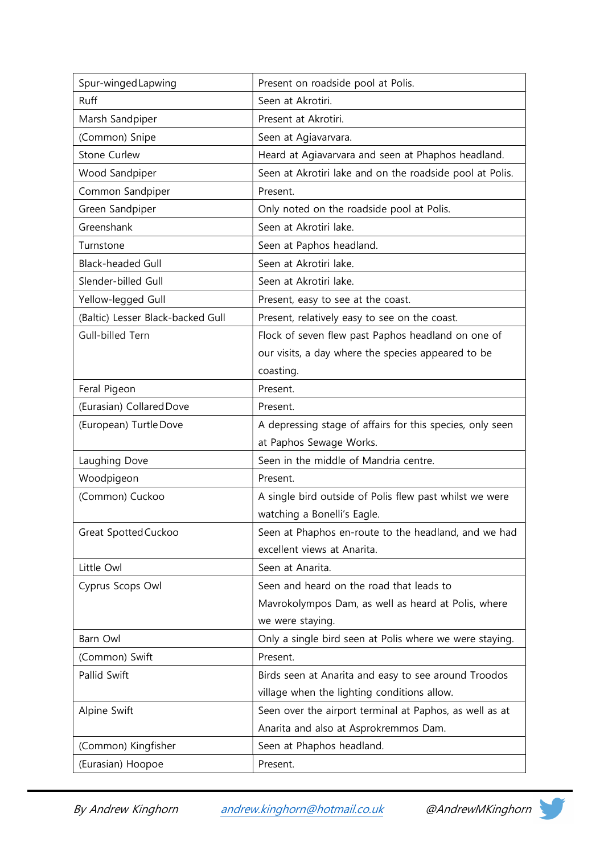| Spur-winged Lapwing               | Present on roadside pool at Polis.                        |
|-----------------------------------|-----------------------------------------------------------|
| <b>Ruff</b>                       | Seen at Akrotiri.                                         |
| Marsh Sandpiper                   | Present at Akrotiri.                                      |
| (Common) Snipe                    | Seen at Agiavarvara.                                      |
| <b>Stone Curlew</b>               | Heard at Agiavarvara and seen at Phaphos headland.        |
| Wood Sandpiper                    | Seen at Akrotiri lake and on the roadside pool at Polis.  |
| Common Sandpiper                  | Present.                                                  |
| Green Sandpiper                   | Only noted on the roadside pool at Polis.                 |
| Greenshank                        | Seen at Akrotiri lake.                                    |
| Turnstone                         | Seen at Paphos headland.                                  |
| <b>Black-headed Gull</b>          | Seen at Akrotiri lake.                                    |
| Slender-billed Gull               | Seen at Akrotiri lake.                                    |
| Yellow-legged Gull                | Present, easy to see at the coast.                        |
| (Baltic) Lesser Black-backed Gull | Present, relatively easy to see on the coast.             |
| Gull-billed Tern                  | Flock of seven flew past Paphos headland on one of        |
|                                   | our visits, a day where the species appeared to be        |
|                                   | coasting.                                                 |
| Feral Pigeon                      | Present.                                                  |
| (Eurasian) Collared Dove          | Present.                                                  |
| (European) Turtle Dove            | A depressing stage of affairs for this species, only seen |
|                                   | at Paphos Sewage Works.                                   |
| Laughing Dove                     | Seen in the middle of Mandria centre.                     |
| Woodpigeon                        | Present.                                                  |
| (Common) Cuckoo                   | A single bird outside of Polis flew past whilst we were   |
|                                   | watching a Bonelli's Eagle.                               |
| Great Spotted Cuckoo              | Seen at Phaphos en-route to the headland, and we had      |
|                                   | excellent views at Anarita.                               |
| Little Owl                        | Seen at Anarita.                                          |
| Cyprus Scops Owl                  | Seen and heard on the road that leads to                  |
|                                   | Mavrokolympos Dam, as well as heard at Polis, where       |
|                                   | we were staying.                                          |
| Barn Owl                          | Only a single bird seen at Polis where we were staying.   |
| (Common) Swift                    | Present.                                                  |
| Pallid Swift                      | Birds seen at Anarita and easy to see around Troodos      |
|                                   | village when the lighting conditions allow.               |
| Alpine Swift                      | Seen over the airport terminal at Paphos, as well as at   |
|                                   | Anarita and also at Asprokremmos Dam.                     |
| (Common) Kingfisher               | Seen at Phaphos headland.                                 |
| (Eurasian) Hoopoe                 | Present.                                                  |

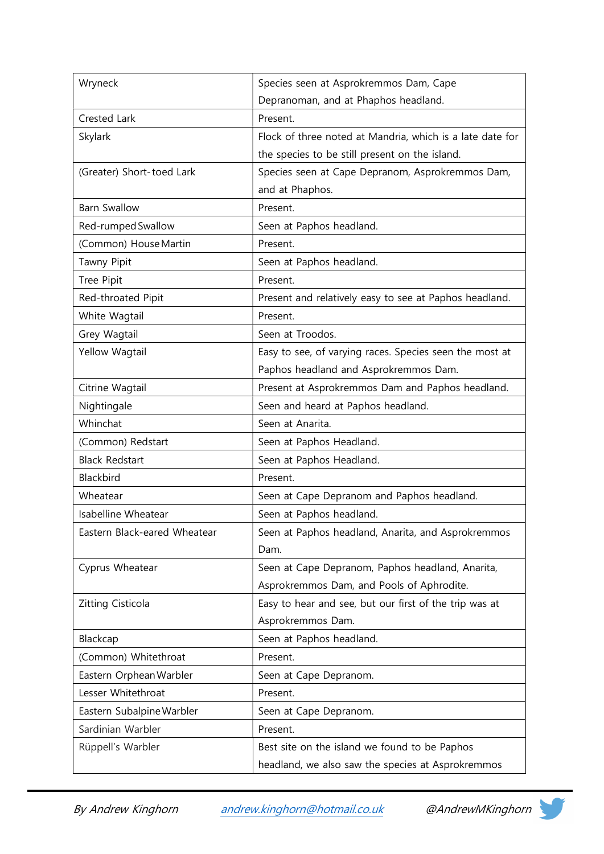| Wryneck                      | Species seen at Asprokremmos Dam, Cape                    |
|------------------------------|-----------------------------------------------------------|
|                              | Depranoman, and at Phaphos headland.                      |
| Crested Lark                 | Present.                                                  |
| Skylark                      | Flock of three noted at Mandria, which is a late date for |
|                              | the species to be still present on the island.            |
| (Greater) Short-toed Lark    | Species seen at Cape Depranom, Asprokremmos Dam,          |
|                              | and at Phaphos.                                           |
| <b>Barn Swallow</b>          | Present.                                                  |
| Red-rumped Swallow           | Seen at Paphos headland.                                  |
| (Common) House Martin        | Present.                                                  |
| Tawny Pipit                  | Seen at Paphos headland.                                  |
| Tree Pipit                   | Present.                                                  |
| Red-throated Pipit           | Present and relatively easy to see at Paphos headland.    |
| White Wagtail                | Present.                                                  |
| Grey Wagtail                 | Seen at Troodos.                                          |
| Yellow Wagtail               | Easy to see, of varying races. Species seen the most at   |
|                              | Paphos headland and Asprokremmos Dam.                     |
| Citrine Wagtail              | Present at Asprokremmos Dam and Paphos headland.          |
| Nightingale                  | Seen and heard at Paphos headland.                        |
| Whinchat                     | Seen at Anarita.                                          |
| (Common) Redstart            | Seen at Paphos Headland.                                  |
| <b>Black Redstart</b>        | Seen at Paphos Headland.                                  |
| Blackbird                    | Present.                                                  |
| Wheatear                     | Seen at Cape Depranom and Paphos headland.                |
| <b>Isabelline Wheatear</b>   | Seen at Paphos headland.                                  |
| Eastern Black-eared Wheatear | Seen at Paphos headland, Anarita, and Asprokremmos        |
|                              | Dam.                                                      |
| Cyprus Wheatear              | Seen at Cape Depranom, Paphos headland, Anarita,          |
|                              | Asprokremmos Dam, and Pools of Aphrodite.                 |
| Zitting Cisticola            | Easy to hear and see, but our first of the trip was at    |
|                              | Asprokremmos Dam.                                         |
| Blackcap                     | Seen at Paphos headland.                                  |
| (Common) Whitethroat         | Present.                                                  |
| Eastern Orphean Warbler      | Seen at Cape Depranom.                                    |
| Lesser Whitethroat           | Present.                                                  |
| Eastern Subalpine Warbler    | Seen at Cape Depranom.                                    |
| Sardinian Warbler            | Present.                                                  |
| Rüppell's Warbler            | Best site on the island we found to be Paphos             |
|                              | headland, we also saw the species at Asprokremmos         |

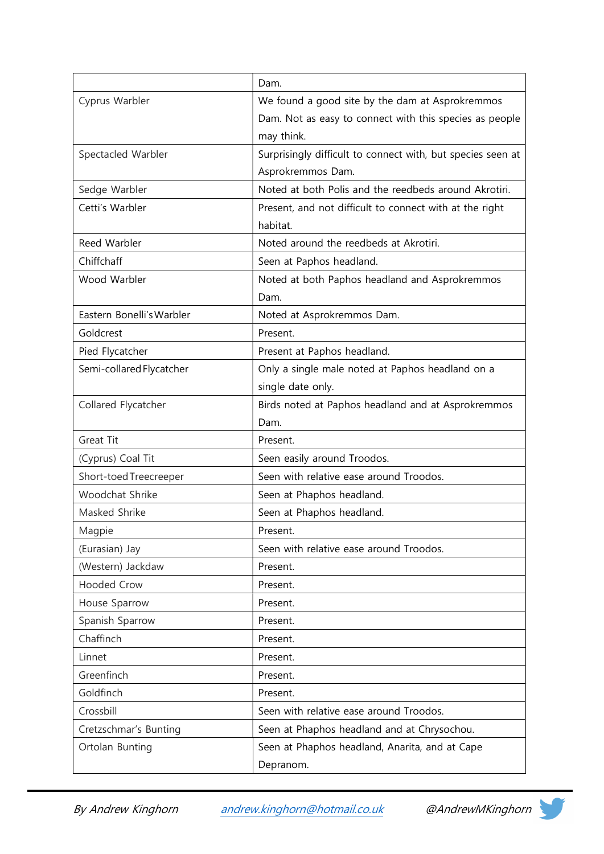|                           | Dam.                                                        |
|---------------------------|-------------------------------------------------------------|
| Cyprus Warbler            | We found a good site by the dam at Asprokremmos             |
|                           | Dam. Not as easy to connect with this species as people     |
|                           | may think.                                                  |
| Spectacled Warbler        | Surprisingly difficult to connect with, but species seen at |
|                           | Asprokremmos Dam.                                           |
| Sedge Warbler             | Noted at both Polis and the reedbeds around Akrotiri.       |
| Cetti's Warbler           | Present, and not difficult to connect with at the right     |
|                           | habitat.                                                    |
| Reed Warbler              | Noted around the reedbeds at Akrotiri.                      |
| Chiffchaff                | Seen at Paphos headland.                                    |
| Wood Warbler              | Noted at both Paphos headland and Asprokremmos              |
|                           | Dam.                                                        |
| Eastern Bonelli's Warbler | Noted at Asprokremmos Dam.                                  |
| Goldcrest                 | Present.                                                    |
| Pied Flycatcher           | Present at Paphos headland.                                 |
| Semi-collared Flycatcher  | Only a single male noted at Paphos headland on a            |
|                           | single date only.                                           |
| Collared Flycatcher       | Birds noted at Paphos headland and at Asprokremmos          |
|                           | Dam.                                                        |
| Great Tit                 | Present.                                                    |
| (Cyprus) Coal Tit         | Seen easily around Troodos.                                 |
| Short-toed Treecreeper    | Seen with relative ease around Troodos.                     |
| Woodchat Shrike           | Seen at Phaphos headland.                                   |
| Masked Shrike             | Seen at Phaphos headland.                                   |
| Magpie                    | Present.                                                    |
| (Eurasian) Jay            | Seen with relative ease around Troodos.                     |
| (Western) Jackdaw         | Present.                                                    |
| <b>Hooded Crow</b>        | Present.                                                    |
| House Sparrow             | Present.                                                    |
| Spanish Sparrow           | Present.                                                    |
| Chaffinch                 | Present.                                                    |
| Linnet                    | Present.                                                    |
| Greenfinch                | Present.                                                    |
| Goldfinch                 | Present.                                                    |
| Crossbill                 | Seen with relative ease around Troodos.                     |
| Cretzschmar's Bunting     | Seen at Phaphos headland and at Chrysochou.                 |
| Ortolan Bunting           | Seen at Phaphos headland, Anarita, and at Cape              |
|                           | Depranom.                                                   |